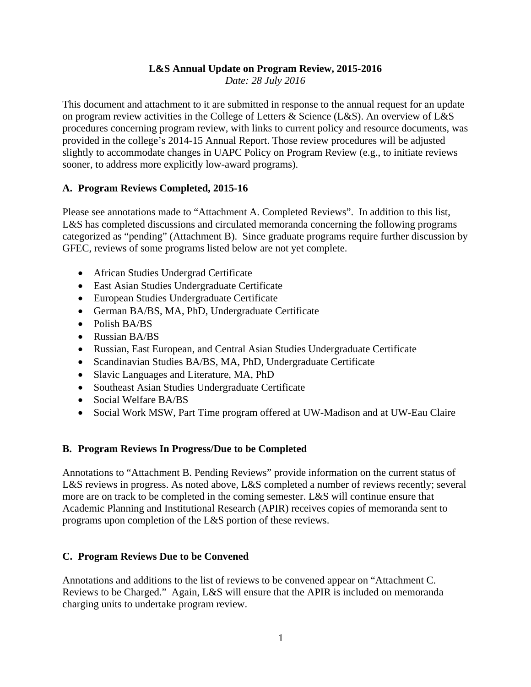# **L&S Annual Update on Program Review, 2015-2016**

*Date: 28 July 2016* 

This document and attachment to it are submitted in response to the annual request for an update on program review activities in the College of Letters & Science (L&S). An overview of L&S procedures concerning program review, with links to current policy and resource documents, was provided in the college's 2014-15 Annual Report. Those review procedures will be adjusted slightly to accommodate changes in UAPC Policy on Program Review (e.g., to initiate reviews sooner, to address more explicitly low-award programs).

## **A. Program Reviews Completed, 2015-16**

Please see annotations made to "Attachment A. Completed Reviews". In addition to this list, L&S has completed discussions and circulated memoranda concerning the following programs categorized as "pending" (Attachment B). Since graduate programs require further discussion by GFEC, reviews of some programs listed below are not yet complete.

- African Studies Undergrad Certificate
- East Asian Studies Undergraduate Certificate
- European Studies Undergraduate Certificate
- German BA/BS, MA, PhD, Undergraduate Certificate
- Polish BA/BS
- Russian BA/BS
- Russian, East European, and Central Asian Studies Undergraduate Certificate
- Scandinavian Studies BA/BS, MA, PhD, Undergraduate Certificate
- Slavic Languages and Literature, MA, PhD
- Southeast Asian Studies Undergraduate Certificate
- Social Welfare BA/BS
- Social Work MSW, Part Time program offered at UW-Madison and at UW-Eau Claire

## **B. Program Reviews In Progress/Due to be Completed**

Annotations to "Attachment B. Pending Reviews" provide information on the current status of L&S reviews in progress. As noted above, L&S completed a number of reviews recently; several more are on track to be completed in the coming semester. L&S will continue ensure that Academic Planning and Institutional Research (APIR) receives copies of memoranda sent to programs upon completion of the L&S portion of these reviews.

## **C. Program Reviews Due to be Convened**

Annotations and additions to the list of reviews to be convened appear on "Attachment C. Reviews to be Charged." Again, L&S will ensure that the APIR is included on memoranda charging units to undertake program review.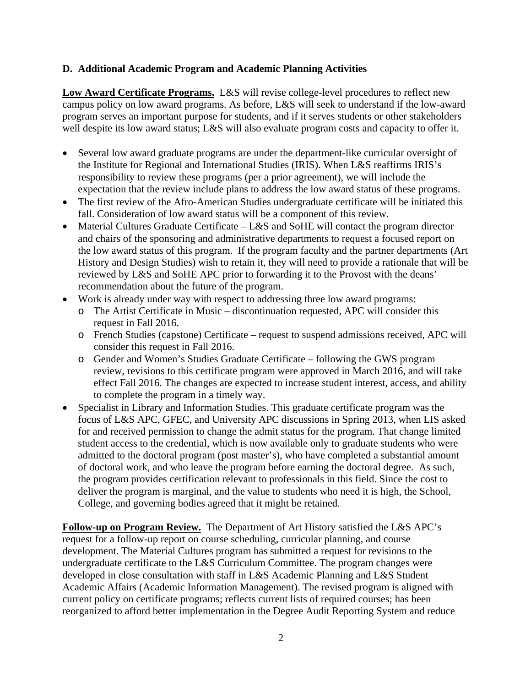## **D. Additional Academic Program and Academic Planning Activities**

**Low Award Certificate Programs.** L&S will revise college-level procedures to reflect new campus policy on low award programs. As before, L&S will seek to understand if the low-award program serves an important purpose for students, and if it serves students or other stakeholders well despite its low award status; L&S will also evaluate program costs and capacity to offer it.

- Several low award graduate programs are under the department-like curricular oversight of the Institute for Regional and International Studies (IRIS). When L&S reaffirms IRIS's responsibility to review these programs (per a prior agreement), we will include the expectation that the review include plans to address the low award status of these programs.
- The first review of the Afro-American Studies undergraduate certificate will be initiated this fall. Consideration of low award status will be a component of this review.
- Material Cultures Graduate Certificate L&S and SoHE will contact the program director and chairs of the sponsoring and administrative departments to request a focused report on the low award status of this program. If the program faculty and the partner departments (Art History and Design Studies) wish to retain it, they will need to provide a rationale that will be reviewed by L&S and SoHE APC prior to forwarding it to the Provost with the deans' recommendation about the future of the program.
- Work is already under way with respect to addressing three low award programs:
	- o The Artist Certificate in Music discontinuation requested, APC will consider this request in Fall 2016.
	- o French Studies (capstone) Certificate request to suspend admissions received, APC will consider this request in Fall 2016.
	- o Gender and Women's Studies Graduate Certificate following the GWS program review, revisions to this certificate program were approved in March 2016, and will take effect Fall 2016. The changes are expected to increase student interest, access, and ability to complete the program in a timely way.
- Specialist in Library and Information Studies. This graduate certificate program was the focus of L&S APC, GFEC, and University APC discussions in Spring 2013, when LIS asked for and received permission to change the admit status for the program. That change limited student access to the credential, which is now available only to graduate students who were admitted to the doctoral program (post master's), who have completed a substantial amount of doctoral work, and who leave the program before earning the doctoral degree. As such, the program provides certification relevant to professionals in this field. Since the cost to deliver the program is marginal, and the value to students who need it is high, the School, College, and governing bodies agreed that it might be retained.

**Follow-up on Program Review.** The Department of Art History satisfied the L&S APC's request for a follow-up report on course scheduling, curricular planning, and course development. The Material Cultures program has submitted a request for revisions to the undergraduate certificate to the L&S Curriculum Committee. The program changes were developed in close consultation with staff in L&S Academic Planning and L&S Student Academic Affairs (Academic Information Management). The revised program is aligned with current policy on certificate programs; reflects current lists of required courses; has been reorganized to afford better implementation in the Degree Audit Reporting System and reduce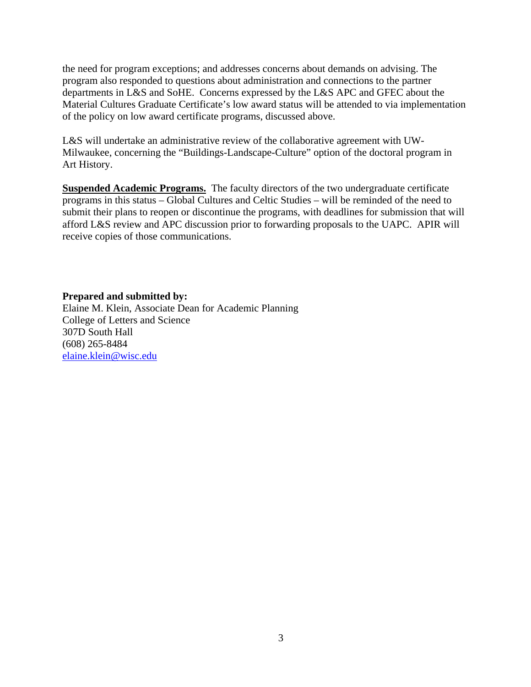the need for program exceptions; and addresses concerns about demands on advising. The program also responded to questions about administration and connections to the partner departments in L&S and SoHE. Concerns expressed by the L&S APC and GFEC about the Material Cultures Graduate Certificate's low award status will be attended to via implementation of the policy on low award certificate programs, discussed above.

L&S will undertake an administrative review of the collaborative agreement with UW-Milwaukee, concerning the "Buildings-Landscape-Culture" option of the doctoral program in Art History.

**Suspended Academic Programs.** The faculty directors of the two undergraduate certificate programs in this status – Global Cultures and Celtic Studies – will be reminded of the need to submit their plans to reopen or discontinue the programs, with deadlines for submission that will afford L&S review and APC discussion prior to forwarding proposals to the UAPC. APIR will receive copies of those communications.

#### **Prepared and submitted by:**

Elaine M. Klein, Associate Dean for Academic Planning College of Letters and Science 307D South Hall (608) 265-8484 elaine.klein@wisc.edu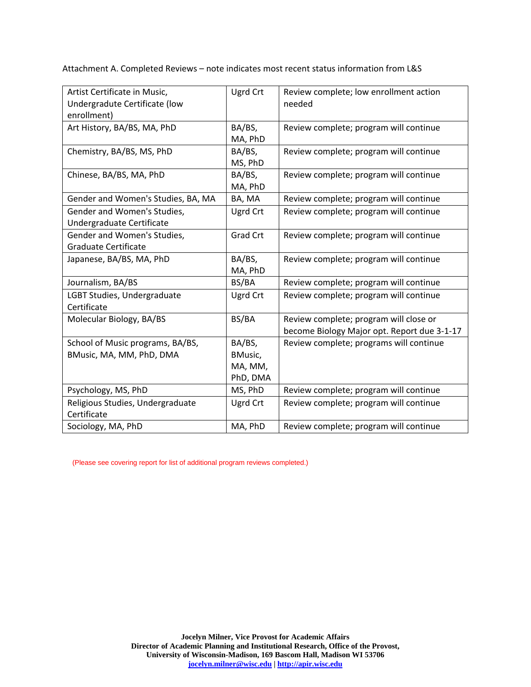Attachment A. Completed Reviews – note indicates most recent status information from L&S

| Artist Certificate in Music,<br>Undergradute Certificate (low | Ugrd Crt        | Review complete; low enrollment action<br>needed |
|---------------------------------------------------------------|-----------------|--------------------------------------------------|
| enrollment)                                                   |                 |                                                  |
| Art History, BA/BS, MA, PhD                                   | BA/BS,          | Review complete; program will continue           |
|                                                               | MA, PhD         |                                                  |
| Chemistry, BA/BS, MS, PhD                                     | BA/BS,          | Review complete; program will continue           |
|                                                               | MS, PhD         |                                                  |
| Chinese, BA/BS, MA, PhD                                       | BA/BS,          | Review complete; program will continue           |
|                                                               | MA, PhD         |                                                  |
| Gender and Women's Studies, BA, MA                            | BA, MA          | Review complete; program will continue           |
| Gender and Women's Studies,                                   | <b>Ugrd Crt</b> | Review complete; program will continue           |
| Undergraduate Certificate                                     |                 |                                                  |
| Gender and Women's Studies,                                   | <b>Grad Crt</b> | Review complete; program will continue           |
| <b>Graduate Certificate</b>                                   |                 |                                                  |
| Japanese, BA/BS, MA, PhD                                      | BA/BS,          | Review complete; program will continue           |
|                                                               | MA, PhD         |                                                  |
| Journalism, BA/BS                                             | BS/BA           | Review complete; program will continue           |
| LGBT Studies, Undergraduate                                   | Ugrd Crt        | Review complete; program will continue           |
| Certificate                                                   |                 |                                                  |
| Molecular Biology, BA/BS                                      | BS/BA           | Review complete; program will close or           |
|                                                               |                 | become Biology Major opt. Report due 3-1-17      |
| School of Music programs, BA/BS,                              | BA/BS,          | Review complete; programs will continue          |
| BMusic, MA, MM, PhD, DMA                                      | BMusic,         |                                                  |
|                                                               | MA, MM,         |                                                  |
|                                                               | PhD, DMA        |                                                  |
| Psychology, MS, PhD                                           | MS, PhD         | Review complete; program will continue           |
| Religious Studies, Undergraduate                              | Ugrd Crt        | Review complete; program will continue           |
| Certificate                                                   |                 |                                                  |
| Sociology, MA, PhD                                            | MA, PhD         | Review complete; program will continue           |

(Please see covering report for list of additional program reviews completed.)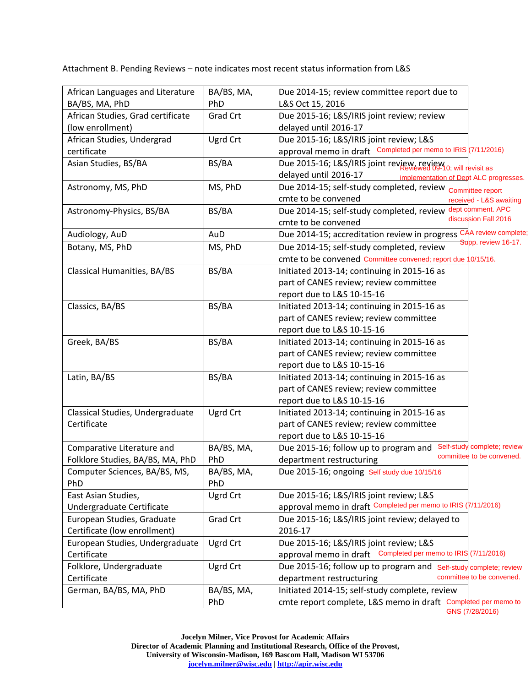Attachment B. Pending Reviews – note indicates most recent status information from L&S

| African Languages and Literature     | BA/BS, MA,        | Due 2014-15; review committee report due to                                                       |
|--------------------------------------|-------------------|---------------------------------------------------------------------------------------------------|
| BA/BS, MA, PhD                       | PhD               | L&S Oct 15, 2016                                                                                  |
| African Studies, Grad certificate    | <b>Grad Crt</b>   | Due 2015-16; L&S/IRIS joint review; review                                                        |
| (low enrollment)                     |                   | delayed until 2016-17                                                                             |
| African Studies, Undergrad           | Ugrd Crt          | Due 2015-16; L&S/IRIS joint review; L&S                                                           |
| certificate                          |                   | approval memo in draft Completed per memo to IRIS (7/11/2016)                                     |
| Asian Studies, BS/BA                 | BS/BA             | Due 2015-16; L&S/IRIS joint review, review, newsit devisit as                                     |
|                                      |                   | delayed until 2016-17<br>implementation of Dept ALC progresses.                                   |
| Astronomy, MS, PhD                   | MS, PhD           | Due 2014-15; self-study completed, review <sub>Comm</sub> ittee report                            |
|                                      |                   | cmte to be convened<br>received - L&S awaiting                                                    |
| Astronomy-Physics, BS/BA             | BS/BA             | dept comment. APC<br>Due 2014-15; self-study completed, review                                    |
|                                      |                   | discussion Fall 2016<br>cmte to be convened                                                       |
| Audiology, AuD                       | AuD               | CAA review complete;<br>Due 2014-15; accreditation review in progress                             |
| Botany, MS, PhD                      | MS, PhD           | Supp. review 16-17.<br>Due 2014-15; self-study completed, review                                  |
|                                      |                   | cmte to be convened Committee convened; report due 10/15/16.                                      |
| Classical Humanities, BA/BS          | BS/BA             | Initiated 2013-14; continuing in 2015-16 as                                                       |
|                                      |                   | part of CANES review; review committee                                                            |
|                                      |                   | report due to L&S 10-15-16                                                                        |
| Classics, BA/BS                      | BS/BA             | Initiated 2013-14; continuing in 2015-16 as                                                       |
|                                      |                   | part of CANES review; review committee                                                            |
|                                      |                   | report due to L&S 10-15-16                                                                        |
| Greek, BA/BS                         | BS/BA             | Initiated 2013-14; continuing in 2015-16 as                                                       |
|                                      |                   | part of CANES review; review committee                                                            |
|                                      |                   | report due to L&S 10-15-16                                                                        |
| Latin, BA/BS                         | BS/BA             | Initiated 2013-14; continuing in 2015-16 as                                                       |
|                                      |                   | part of CANES review; review committee                                                            |
|                                      |                   | report due to L&S 10-15-16                                                                        |
| Classical Studies, Undergraduate     | Ugrd Crt          | Initiated 2013-14; continuing in 2015-16 as                                                       |
| Certificate                          |                   | part of CANES review; review committee                                                            |
|                                      |                   | report due to L&S 10-15-16                                                                        |
| Comparative Literature and           | BA/BS, MA,        | Self-study complete; review<br>Due 2015-16; follow up to program and<br>committee to be convened. |
| Folklore Studies, BA/BS, MA, PhD     | PhD               | department restructuring                                                                          |
| Computer Sciences, BA/BS, MS,<br>PhD | BA/BS, MA,<br>PhD | Due 2015-16; ongoing Self study due 10/15/16                                                      |
| East Asian Studies,                  | Ugrd Crt          | Due 2015-16; L&S/IRIS joint review; L&S                                                           |
| Undergraduate Certificate            |                   | approval memo in draft Completed per memo to IRIS (7/11/2016)                                     |
| European Studies, Graduate           | <b>Grad Crt</b>   | Due 2015-16; L&S/IRIS joint review; delayed to                                                    |
| Certificate (low enrollment)         |                   | 2016-17                                                                                           |
| European Studies, Undergraduate      | Ugrd Crt          | Due 2015-16; L&S/IRIS joint review; L&S                                                           |
| Certificate                          |                   | approval memo in draft Completed per memo to IRIS (7/11/2016)                                     |
| Folklore, Undergraduate              | Ugrd Crt          | Due 2015-16; follow up to program and Self-study complete; review                                 |
| Certificate                          |                   | committee to be convened.<br>department restructuring                                             |
| German, BA/BS, MA, PhD               | BA/BS, MA,        | Initiated 2014-15; self-study complete, review                                                    |
|                                      | PhD               | cmte report complete, L&S memo in draft Completed per memo to                                     |
|                                      |                   | GNS (7/28/2016)                                                                                   |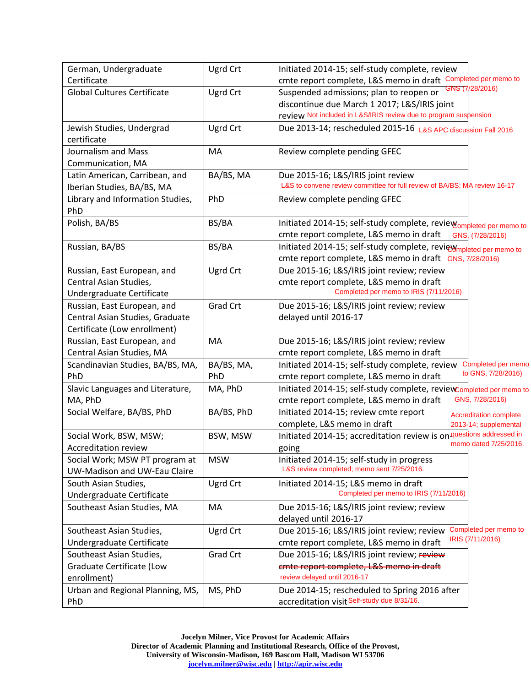| German, Undergraduate              | Ugrd Crt        | Initiated 2014-15; self-study complete, review                                          |
|------------------------------------|-----------------|-----------------------------------------------------------------------------------------|
| Certificate                        |                 | cmte report complete, L&S memo in draft Completed per memo to                           |
| <b>Global Cultures Certificate</b> | Ugrd Crt        | <b>VS (7/28/2016)</b><br>Suspended admissions; plan to reopen or                        |
|                                    |                 | discontinue due March 1 2017; L&S/IRIS joint                                            |
|                                    |                 | review Not included in L&S/IRIS review due to program suspension                        |
| Jewish Studies, Undergrad          | Ugrd Crt        | Due 2013-14; rescheduled 2015-16 L&S APC discussion Fall 2016                           |
| certificate                        |                 |                                                                                         |
| Journalism and Mass                | MA              | Review complete pending GFEC                                                            |
| Communication, MA                  |                 |                                                                                         |
| Latin American, Carribean, and     | BA/BS, MA       | Due 2015-16; L&S/IRIS joint review                                                      |
| Iberian Studies, BA/BS, MA         |                 | L&S to convene review committee for full review of BA/BS; MA review 16-17               |
| Library and Information Studies,   | PhD             | Review complete pending GFEC                                                            |
| PhD                                |                 |                                                                                         |
| Polish, BA/BS                      | BS/BA           | Initiated 2014-15; self-study complete, review om bleted per memo to                    |
|                                    |                 | cmte report complete, L&S memo in draft<br>GNS, (7/28/2016)                             |
| Russian, BA/BS                     | BS/BA           | Initiated 2014-15; self-study complete, review <sub>mpleted per memo to</sub>           |
|                                    |                 | cmte report complete, L&S memo in draft GNS,<br>7/28/2016                               |
| Russian, East European, and        | Ugrd Crt        | Due 2015-16; L&S/IRIS joint review; review                                              |
| Central Asian Studies,             |                 | cmte report complete, L&S memo in draft                                                 |
| Undergraduate Certificate          |                 | Completed per memo to IRIS (7/11/2016)                                                  |
| Russian, East European, and        | <b>Grad Crt</b> | Due 2015-16; L&S/IRIS joint review; review                                              |
| Central Asian Studies, Graduate    |                 | delayed until 2016-17                                                                   |
| Certificate (Low enrollment)       |                 |                                                                                         |
| Russian, East European, and        | MA              | Due 2015-16; L&S/IRIS joint review; review                                              |
| Central Asian Studies, MA          |                 | cmte report complete, L&S memo in draft                                                 |
| Scandinavian Studies, BA/BS, MA,   | BA/BS, MA,      | Initiated 2014-15; self-study complete, review<br>Completed per memo                    |
| PhD                                | PhD             | to GNS, 7/28/2016)<br>cmte report complete, L&S memo in draft                           |
| Slavic Languages and Literature,   | MA, PhD         | Initiated 2014-15; self-study complete, review Completed per memo to                    |
| MA, PhD                            |                 | GNS, 7/28/2016)<br>cmte report complete, L&S memo in draft                              |
| Social Welfare, BA/BS, PhD         | BA/BS, PhD      | Initiated 2014-15; review cmte report                                                   |
|                                    |                 | <b>Accreditation complete</b><br>complete, L&S memo in draft<br>2013-14; supplemental   |
| Social Work, BSW, MSW;             | BSW, MSW        | Initiated 2014-15; accreditation review is on questions addressed in                    |
| Accreditation review               |                 | memo dated 7/25/2016.                                                                   |
| Social Work; MSW PT program at     | <b>MSW</b>      | going<br>Initiated 2014-15; self-study in progress                                      |
| UW-Madison and UW-Eau Claire       |                 | L&S review completed; memo sent 7/25/2016.                                              |
|                                    |                 |                                                                                         |
| South Asian Studies,               | Ugrd Crt        | Initiated 2014-15; L&S memo in draft<br>Completed per memo to IRIS (7/11/2016)          |
| Undergraduate Certificate          |                 |                                                                                         |
| Southeast Asian Studies, MA        | МA              | Due 2015-16; L&S/IRIS joint review; review                                              |
|                                    |                 | delayed until 2016-17                                                                   |
| Southeast Asian Studies,           | Ugrd Crt        | Completed per memo to<br>Due 2015-16; L&S/IRIS joint review; review<br>IRIS (7/11/2016) |
| Undergraduate Certificate          |                 | cmte report complete, L&S memo in draft                                                 |
| Southeast Asian Studies,           | Grad Crt        | Due 2015-16; L&S/IRIS joint review; review                                              |
| Graduate Certificate (Low          |                 | emte report complete, L&S memo in draft                                                 |
| enrollment)                        |                 | review delayed until 2016-17                                                            |
| Urban and Regional Planning, MS,   | MS, PhD         | Due 2014-15; rescheduled to Spring 2016 after                                           |
| PhD                                |                 | accreditation visit Self-study due 8/31/16.                                             |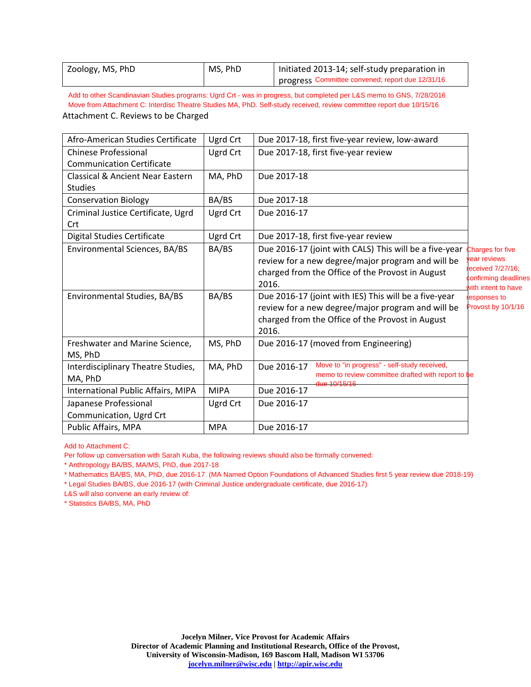| Zoology, MS, PhD | MS, PhD | Initiated 2013-14; self-study preparation in     |
|------------------|---------|--------------------------------------------------|
|                  |         | progress Committee convened; report due 12/31/16 |

Attachment C. Reviews to be Charged Add to other Scandinavian Studies programs: Ugrd Crt - was in progress, but completed per L&S memo to GNS, 7/28/2016 Move from Attachment C: Interdisc Theatre Studies MA, PhD. Self-study received, review committee report due 10/15/16

| Afro-American Studies Certificate                                                                                           | Ugrd Crt    | Due 2017-18, first five-year review, low-award                     |                                          |  |  |
|-----------------------------------------------------------------------------------------------------------------------------|-------------|--------------------------------------------------------------------|------------------------------------------|--|--|
| <b>Chinese Professional</b>                                                                                                 | Ugrd Crt    | Due 2017-18, first five-year review                                |                                          |  |  |
| <b>Communication Certificate</b>                                                                                            |             |                                                                    |                                          |  |  |
| <b>Classical &amp; Ancient Near Eastern</b>                                                                                 | MA, PhD     | Due 2017-18                                                        |                                          |  |  |
| <b>Studies</b>                                                                                                              |             |                                                                    |                                          |  |  |
| <b>Conservation Biology</b>                                                                                                 | BA/BS       | Due 2017-18                                                        |                                          |  |  |
| Criminal Justice Certificate, Ugrd                                                                                          | Ugrd Crt    | Due 2016-17                                                        |                                          |  |  |
| Crt                                                                                                                         |             |                                                                    |                                          |  |  |
| <b>Digital Studies Certificate</b>                                                                                          | Ugrd Crt    | Due 2017-18, first five-year review                                |                                          |  |  |
| Environmental Sciences, BA/BS                                                                                               | BA/BS       | Due 2016-17 (joint with CALS) This will be a five-year             | <b>Charges for five</b>                  |  |  |
|                                                                                                                             |             | review for a new degree/major program and will be                  | ear reviews                              |  |  |
|                                                                                                                             |             | charged from the Office of the Provost in August                   | eceived 7/27/16;<br>confirming deadlines |  |  |
|                                                                                                                             |             | 2016.                                                              | vith intent to have                      |  |  |
| Environmental Studies, BA/BS                                                                                                | BA/BS       | Due 2016-17 (joint with IES) This will be a five-year              | esponses to                              |  |  |
|                                                                                                                             |             | review for a new degree/major program and will be                  | Provost by 10/1/16                       |  |  |
|                                                                                                                             |             | charged from the Office of the Provost in August                   |                                          |  |  |
|                                                                                                                             |             | 2016.                                                              |                                          |  |  |
| Freshwater and Marine Science,                                                                                              | MS, PhD     | Due 2016-17 (moved from Engineering)                               |                                          |  |  |
| MS, PhD                                                                                                                     |             |                                                                    |                                          |  |  |
| Interdisciplinary Theatre Studies,                                                                                          | MA, PhD     | Move to "in progress" - self-study received,<br>Due 2016-17        |                                          |  |  |
| MA, PhD                                                                                                                     |             | memo to review committee drafted with report to be<br>the 10/15/16 |                                          |  |  |
| International Public Affairs, MIPA                                                                                          | <b>MIPA</b> | Due 2016-17                                                        |                                          |  |  |
| Japanese Professional                                                                                                       | Ugrd Crt    | Due 2016-17                                                        |                                          |  |  |
| Communication, Ugrd Crt                                                                                                     |             |                                                                    |                                          |  |  |
| Public Affairs, MPA                                                                                                         | <b>MPA</b>  | Due 2016-17                                                        |                                          |  |  |
| Add to Attachment C:                                                                                                        |             |                                                                    |                                          |  |  |
| Per follow up conversation with Sarah Kuba, the following reviews should also be formally convened:                         |             |                                                                    |                                          |  |  |
| * Anthropology BA/BS, MA/MS, PhD, due 2017-18                                                                               |             |                                                                    |                                          |  |  |
| * Mathematics BA/BS, MA, PhD, due 2016-17 (MA Named Option Foundations of Advanced Studies first 5 year review due 2018-19) |             |                                                                    |                                          |  |  |
| * Legal Studies BA/BS, due 2016-17 (with Criminal Justice undergraduate certificate, due 2016-17)                           |             |                                                                    |                                          |  |  |
| L&S will also convene an early review of:<br>* Statistics BA/BS, MA, PhD                                                    |             |                                                                    |                                          |  |  |
|                                                                                                                             |             |                                                                    |                                          |  |  |